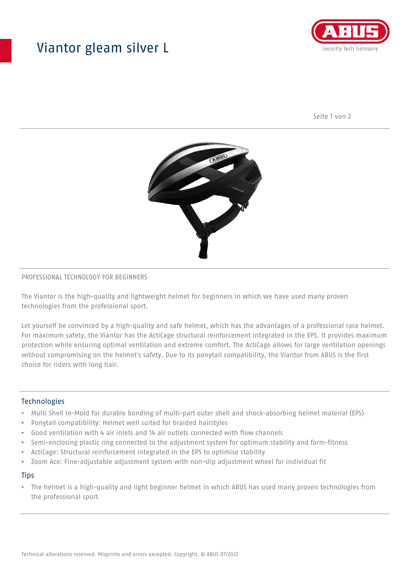## Viantor gleam silver L



Seite 1 von 2



#### PROFESSIONAL TECHNOLOGY FOR BEGINNERS

The Viantor is the high-quality and lightweight helmet for beginners in which we have used many proven technologies from the professional sport.

Let yourself be convinced by a high-quality and safe helmet, which has the advantages of a professional race helmet. For maximum safety, the Viantor has the ActiCage structural reinforcement integrated in the EPS. It provides maximum protection while ensuring optimal ventilation and extreme comfort. The ActiCage allows for large ventilation openings without compromising on the helmet's safety. Due to its ponytail compatibility, the Viantor from ABUS is the first choice for riders with long hair.

## **Technologies**

- Multi Shell In-Mold for durable bonding of multi-part outer shell and shock-absorbing helmet material (EPS)
- Ponytail compatibility: Helmet well suited for braided hairstyles
- Good ventilation with 4 air inlets and 14 air outlets connected with flow channels
- Semi-enclosing plastic ring connected to the adjustment system for optimum stability and form-fitness
- ActiCage: Structural reinforcement integrated in the EPS to optimise stability
- Zoom Ace: Fine-adjustable adjustment system with non-slip adjustment wheel for individual fit

#### **Tips**

• The helmet is a high-quality and light beginner helmet in which ABUS has used many proven technologies from the professional sport